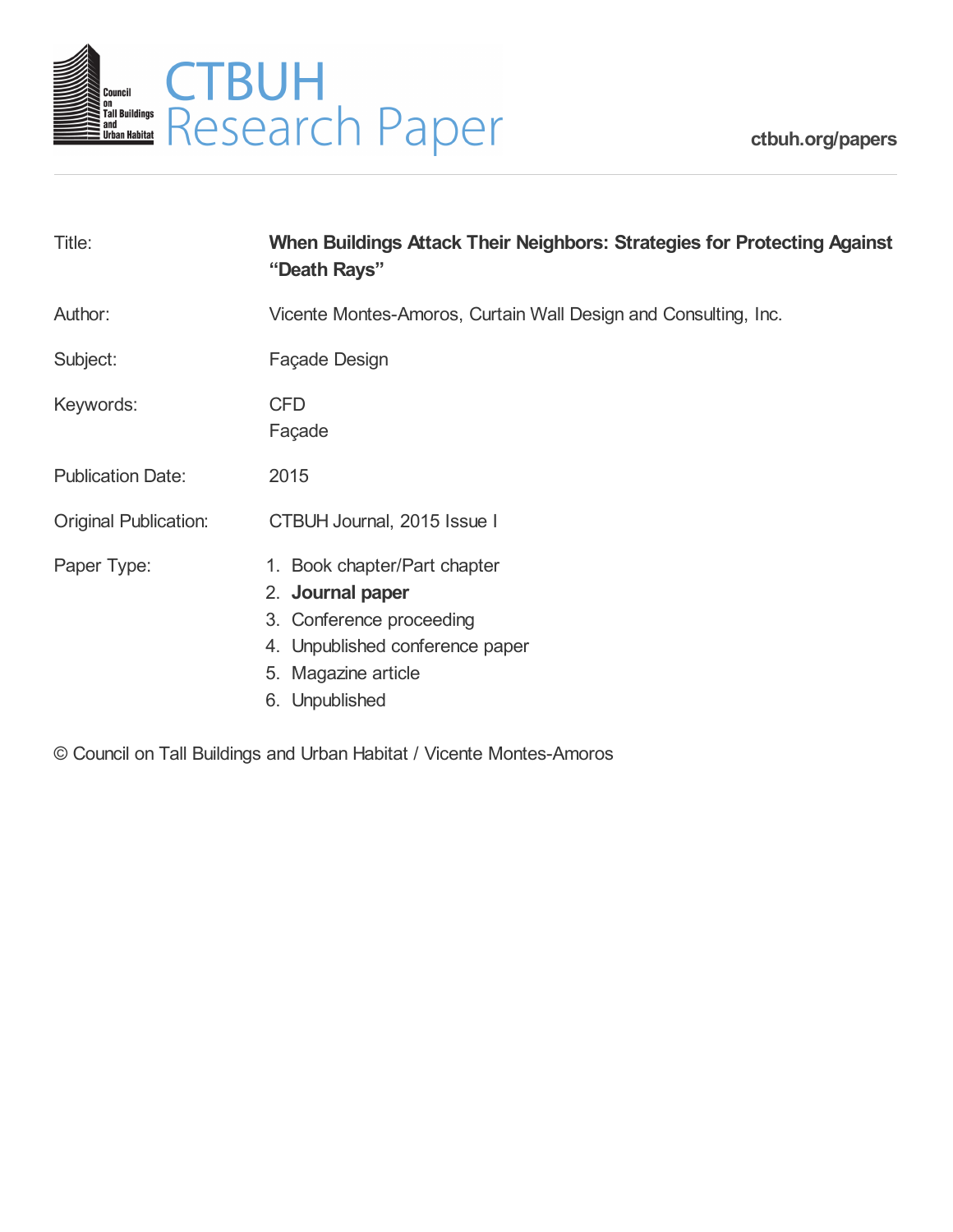

**[ctbuh.org/papers](http://ctbuh.org/papers)**

| Title:                       | When Buildings Attack Their Neighbors: Strategies for Protecting Against<br>"Death Rays"                                                                 |
|------------------------------|----------------------------------------------------------------------------------------------------------------------------------------------------------|
| Author:                      | Vicente Montes-Amoros, Curtain Wall Design and Consulting, Inc.                                                                                          |
| Subject:                     | Façade Design                                                                                                                                            |
| Keywords:                    | <b>CFD</b><br>Façade                                                                                                                                     |
| <b>Publication Date:</b>     | 2015                                                                                                                                                     |
| <b>Original Publication:</b> | CTBUH Journal, 2015 Issue I                                                                                                                              |
| Paper Type:                  | 1. Book chapter/Part chapter<br>2. Journal paper<br>3. Conference proceeding<br>4. Unpublished conference paper<br>5. Magazine article<br>6. Unpublished |

© Council on Tall Buildings and Urban Habitat / Vicente Montes-Amoros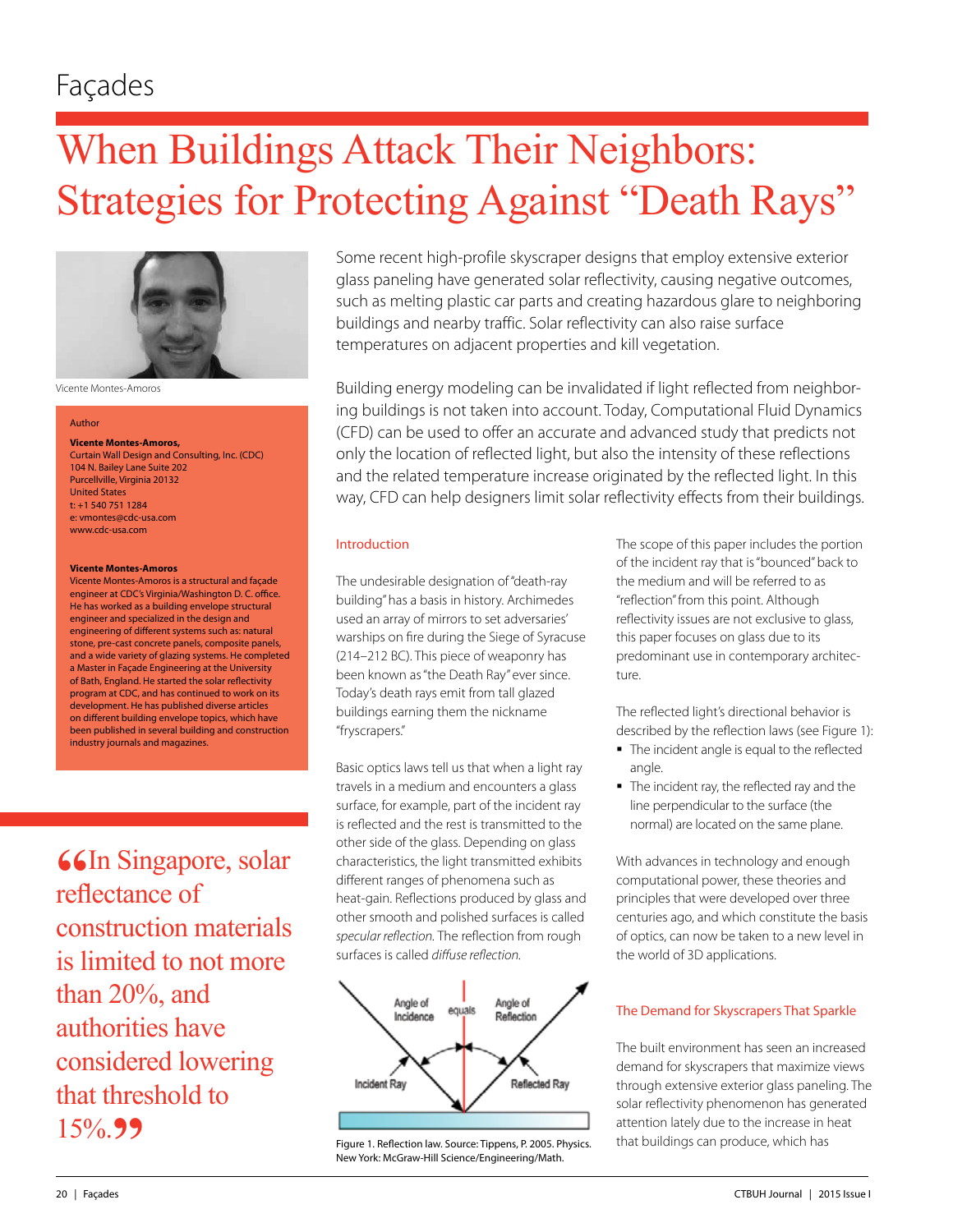# When Buildings Attack Their Neighbors: Strategies for Protecting Against "Death Rays"



Vicente Montes-Amoros

#### Author

**Vicente Montes-Amoros,**  Curtain Wall Design and Consulting, Inc. (CDC) 104 N. Bailey Lane Suite 202 Purcellville, Virginia 20132 United States t: +1 540 751 1284 e: vmontes@cdc-usa.com www.cdc-usa.com

#### **Vicente Montes-Amoros**

Vicente Montes-Amoros is a structural and façade engineer at CDC's Virginia/Washington D. C. office. He has worked as a building envelope structural engineer and specialized in the design and engineering of different systems such as: natural stone, pre-cast concrete panels, composite panels, and a wide variety of glazing systems. He completed a Master in Façade Engineering at the University of Bath, England. He started the solar reflectivity program at CDC, and has continued to work on its development. He has published diverse articles on different building envelope topics, which have been published in several building and construction industry journals and magazines.

**66**In Singapore, solar reflectance of construction materials is limited to not more than 20%, and authorities have considered lowering that threshold to 15%.**"**

Some recent high-profile skyscraper designs that employ extensive exterior glass paneling have generated solar reflectivity, causing negative outcomes, such as melting plastic car parts and creating hazardous glare to neighboring buildings and nearby traffic. Solar reflectivity can also raise surface temperatures on adjacent properties and kill vegetation.

Building energy modeling can be invalidated if light reflected from neighboring buildings is not taken into account. Today, Computational Fluid Dynamics (CFD) can be used to offer an accurate and advanced study that predicts not only the location of reflected light, but also the intensity of these reflections and the related temperature increase originated by the reflected light. In this way, CFD can help designers limit solar reflectivity effects from their buildings.

## Introduction

The undesirable designation of "death-ray building" has a basis in history. Archimedes used an array of mirrors to set adversaries' warships on fire during the Siege of Syracuse (214–212 BC). This piece of weaponry has been known as "the Death Ray" ever since. Today's death rays emit from tall glazed buildings earning them the nickname "fryscrapers."

Basic optics laws tell us that when a light ray travels in a medium and encounters a glass surface, for example, part of the incident ray is reflected and the rest is transmitted to the other side of the glass. Depending on glass characteristics, the light transmitted exhibits different ranges of phenomena such as heat-gain. Reflections produced by glass and other smooth and polished surfaces is called *specular reflection.* The reflection from rough surfaces is called *diffuse reflection.* 



Figure 1. Reflection law. Source: Tippens, P. 2005. Physics. New York: McGraw-Hill Science/Engineering/Math.

The scope of this paper includes the portion of the incident ray that is "bounced" back to the medium and will be referred to as "reflection" from this point. Although reflectivity issues are not exclusive to glass, this paper focuses on glass due to its predominant use in contemporary architecture.

The reflected light's directional behavior is described by the reflection laws (see Figure 1):

- The incident angle is equal to the reflected angle.
- The incident ray, the reflected ray and the line perpendicular to the surface (the normal) are located on the same plane.

With advances in technology and enough computational power, these theories and principles that were developed over three centuries ago, and which constitute the basis of optics, can now be taken to a new level in the world of 3D applications.

# The Demand for Skyscrapers That Sparkle

The built environment has seen an increased demand for skyscrapers that maximize views through extensive exterior glass paneling. The solar reflectivity phenomenon has generated attention lately due to the increase in heat that buildings can produce, which has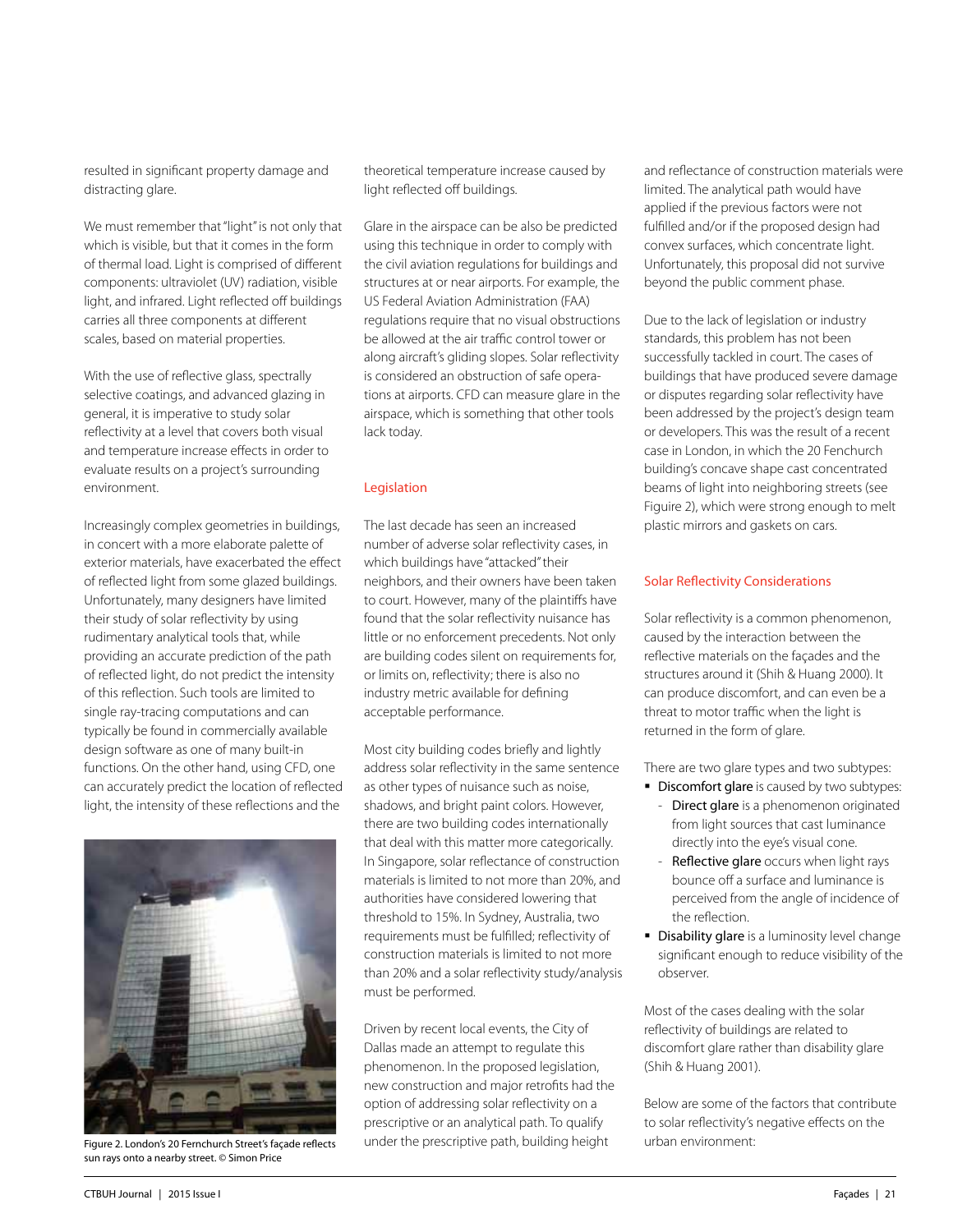resulted in significant property damage and distracting glare.

We must remember that "light" is not only that which is visible, but that it comes in the form of thermal load. Light is comprised of different components: ultraviolet (UV) radiation, visible light, and infrared. Light reflected off buildings carries all three components at different scales, based on material properties.

With the use of reflective glass, spectrally selective coatings, and advanced glazing in general, it is imperative to study solar reflectivity at a level that covers both visual and temperature increase effects in order to evaluate results on a project's surrounding environment.

Increasingly complex geometries in buildings, in concert with a more elaborate palette of exterior materials, have exacerbated the effect of reflected light from some glazed buildings. Unfortunately, many designers have limited their study of solar reflectivity by using rudimentary analytical tools that, while providing an accurate prediction of the path of reflected light, do not predict the intensity of this reflection. Such tools are limited to single ray-tracing computations and can typically be found in commercially available design software as one of many built-in functions. On the other hand, using CFD, one can accurately predict the location of reflected light, the intensity of these reflections and the



sun rays onto a nearby street. © Simon Price

theoretical temperature increase caused by light reflected off buildings.

Glare in the airspace can be also be predicted using this technique in order to comply with the civil aviation regulations for buildings and structures at or near airports. For example, the US Federal Aviation Administration (FAA) regulations require that no visual obstructions be allowed at the air traffic control tower or along aircraft's gliding slopes. Solar reflectivity is considered an obstruction of safe operations at airports. CFD can measure glare in the airspace, which is something that other tools lack today.

## Legislation

The last decade has seen an increased number of adverse solar reflectivity cases, in which buildings have "attacked" their neighbors, and their owners have been taken to court. However, many of the plaintiffs have found that the solar reflectivity nuisance has little or no enforcement precedents. Not only are building codes silent on requirements for, or limits on, reflectivity; there is also no industry metric available for defining acceptable performance.

Most city building codes briefly and lightly address solar reflectivity in the same sentence as other types of nuisance such as noise, shadows, and bright paint colors. However, there are two building codes internationally that deal with this matter more categorically. In Singapore, solar reflectance of construction materials is limited to not more than 20%, and authorities have considered lowering that threshold to 15%. In Sydney, Australia, two requirements must be fulfilled; reflectivity of construction materials is limited to not more than 20% and a solar reflectivity study/analysis must be performed.

Driven by recent local events, the City of Dallas made an attempt to regulate this phenomenon. In the proposed legislation, new construction and major retrofits had the option of addressing solar reflectivity on a prescriptive or an analytical path. To qualify under the prescriptive path, building height Figure 2. London's 20 Fernchurch Street's façade reflects under the prescriptive path, building height urban environment:

and reflectance of construction materials were limited. The analytical path would have applied if the previous factors were not fulfilled and/or if the proposed design had convex surfaces, which concentrate light. Unfortunately, this proposal did not survive beyond the public comment phase.

Due to the lack of legislation or industry standards, this problem has not been successfully tackled in court. The cases of buildings that have produced severe damage or disputes regarding solar reflectivity have been addressed by the project's design team or developers. This was the result of a recent case in London, in which the 20 Fenchurch building's concave shape cast concentrated beams of light into neighboring streets (see Figuire 2), which were strong enough to melt plastic mirrors and gaskets on cars.

## Solar Reflectivity Considerations

Solar reflectivity is a common phenomenon, caused by the interaction between the reflective materials on the façades and the structures around it (Shih & Huang 2000). It can produce discomfort, and can even be a threat to motor traffic when the light is returned in the form of glare.

There are two glare types and two subtypes:

- Discomfort glare is caused by two subtypes:
	- Direct glare is a phenomenon originated from light sources that cast luminance directly into the eye's visual cone.
	- Reflective glare occurs when light rays bounce off a surface and luminance is perceived from the angle of incidence of the reflection.
- **Disability glare** is a luminosity level change significant enough to reduce visibility of the observer.

Most of the cases dealing with the solar reflectivity of buildings are related to discomfort glare rather than disability glare (Shih & Huang 2001).

Below are some of the factors that contribute to solar reflectivity's negative effects on the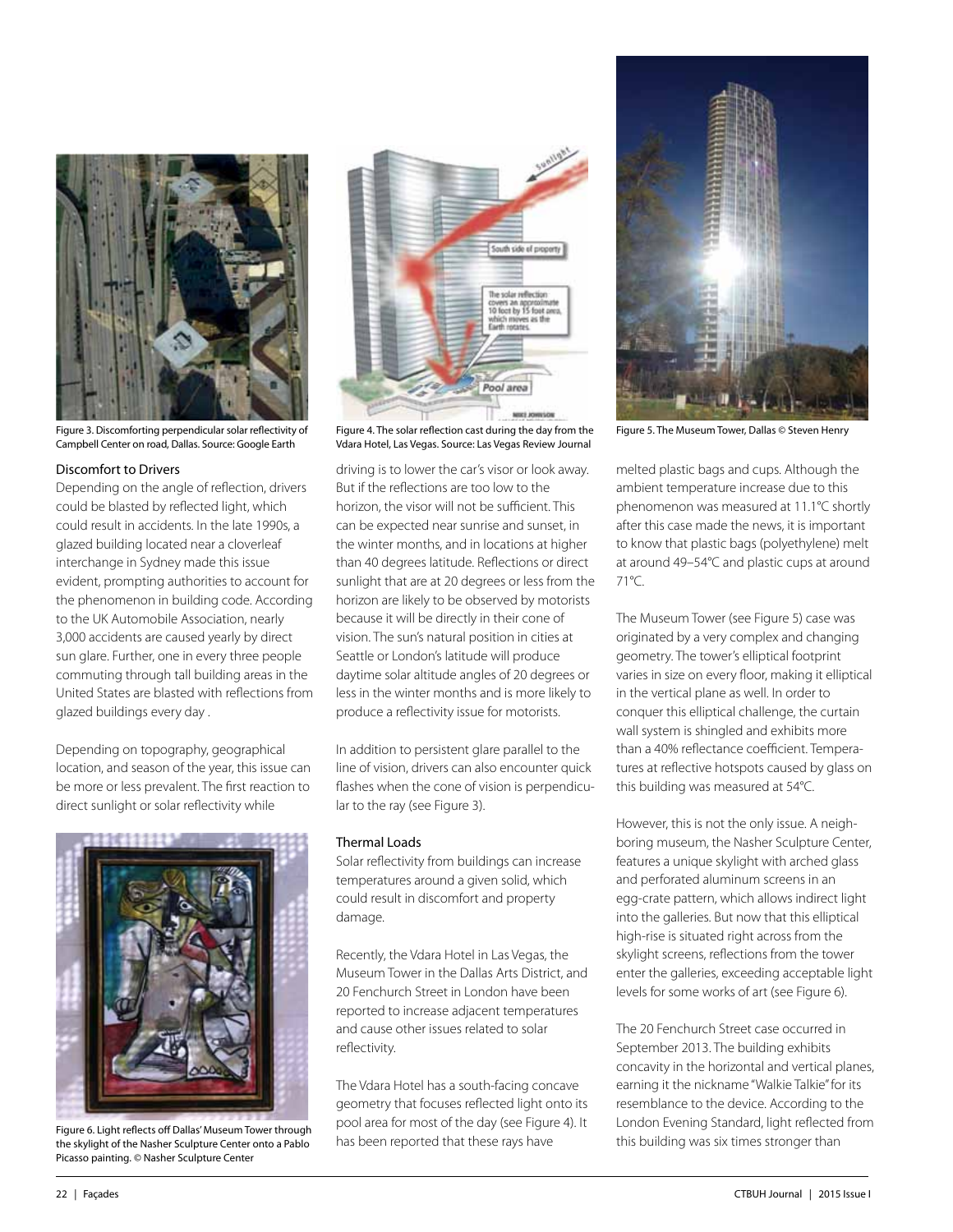

Figure 3. Discomforting perpendicular solar reflectivity of Figure 4. The solar reflection cast during the day from the Figure 5. The Museum Tower, Dallas © Steven Henry Campbell Center on road, Dallas. Source: Google Earth

#### Discomfort to Drivers

Depending on the angle of reflection, drivers could be blasted by reflected light, which could result in accidents. In the late 1990s, a glazed building located near a cloverleaf interchange in Sydney made this issue evident, prompting authorities to account for the phenomenon in building code. According to the UK Automobile Association, nearly 3,000 accidents are caused yearly by direct sun glare. Further, one in every three people commuting through tall building areas in the United States are blasted with reflections from glazed buildings every day .

Depending on topography, geographical location, and season of the year, this issue can be more or less prevalent. The first reaction to direct sunlight or solar reflectivity while



Figure 6. Light reflects off Dallas' Museum Tower through the skylight of the Nasher Sculpture Center onto a Pablo Picasso painting. © Nasher Sculpture Center



Vdara Hotel, Las Vegas. Source: Las Vegas Review Journal

driving is to lower the car's visor or look away. But if the reflections are too low to the horizon, the visor will not be sufficient. This can be expected near sunrise and sunset, in the winter months, and in locations at higher than 40 degrees latitude. Reflections or direct sunlight that are at 20 degrees or less from the horizon are likely to be observed by motorists because it will be directly in their cone of vision. The sun's natural position in cities at Seattle or London's latitude will produce daytime solar altitude angles of 20 degrees or less in the winter months and is more likely to produce a reflectivity issue for motorists.

In addition to persistent glare parallel to the line of vision, drivers can also encounter quick flashes when the cone of vision is perpendicular to the ray (see Figure 3).

#### Thermal Loads

Solar reflectivity from buildings can increase temperatures around a given solid, which could result in discomfort and property damage.

Recently, the Vdara Hotel in Las Vegas, the Museum Tower in the Dallas Arts District, and 20 Fenchurch Street in London have been reported to increase adjacent temperatures and cause other issues related to solar reflectivity.

The Vdara Hotel has a south-facing concave geometry that focuses reflected light onto its pool area for most of the day (see Figure 4). It has been reported that these rays have



melted plastic bags and cups. Although the ambient temperature increase due to this phenomenon was measured at 11.1°C shortly after this case made the news, it is important to know that plastic bags (polyethylene) melt at around 49–54°C and plastic cups at around 71°C.

The Museum Tower (see Figure 5) case was originated by a very complex and changing geometry. The tower's elliptical footprint varies in size on every floor, making it elliptical in the vertical plane as well. In order to conquer this elliptical challenge, the curtain wall system is shingled and exhibits more than a 40% reflectance coefficient. Temperatures at reflective hotspots caused by glass on this building was measured at 54°C.

However, this is not the only issue. A neighboring museum, the Nasher Sculpture Center, features a unique skylight with arched glass and perforated aluminum screens in an egg-crate pattern, which allows indirect light into the galleries. But now that this elliptical high-rise is situated right across from the skylight screens, reflections from the tower enter the galleries, exceeding acceptable light levels for some works of art (see Figure 6).

The 20 Fenchurch Street case occurred in September 2013. The building exhibits concavity in the horizontal and vertical planes, earning it the nickname "Walkie Talkie" for its resemblance to the device. According to the London Evening Standard, light reflected from this building was six times stronger than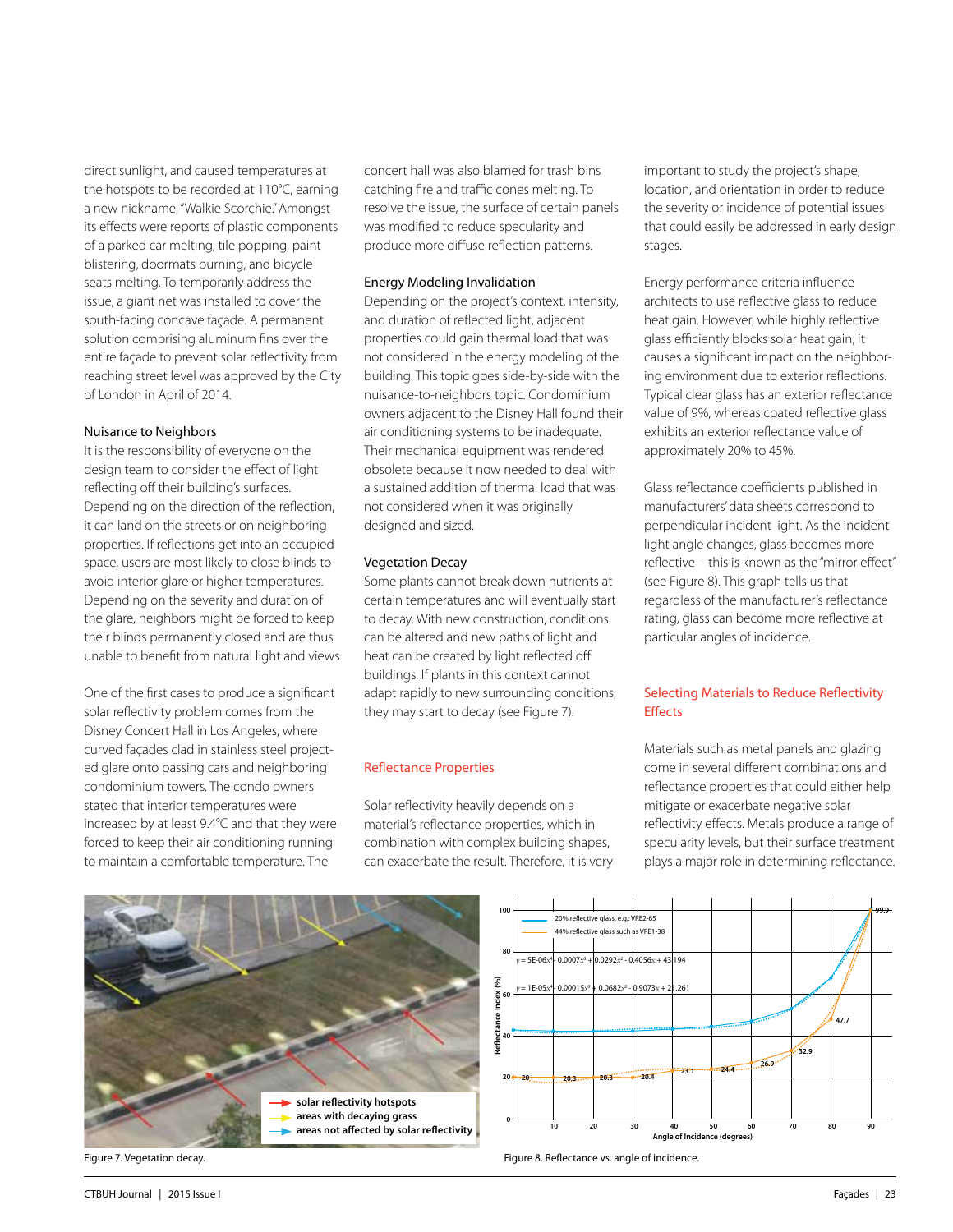direct sunlight, and caused temperatures at the hotspots to be recorded at 110°C, earning a new nickname, "Walkie Scorchie." Amongst its effects were reports of plastic components of a parked car melting, tile popping, paint blistering, doormats burning, and bicycle seats melting. To temporarily address the issue, a giant net was installed to cover the south-facing concave façade. A permanent solution comprising aluminum fins over the entire façade to prevent solar reflectivity from reaching street level was approved by the City of London in April of 2014.

#### Nuisance to Neighbors

It is the responsibility of everyone on the design team to consider the effect of light reflecting off their building's surfaces. Depending on the direction of the reflection, it can land on the streets or on neighboring properties. If reflections get into an occupied space, users are most likely to close blinds to avoid interior glare or higher temperatures. Depending on the severity and duration of the glare, neighbors might be forced to keep their blinds permanently closed and are thus unable to benefit from natural light and views.

One of the first cases to produce a significant solar reflectivity problem comes from the Disney Concert Hall in Los Angeles, where curved façades clad in stainless steel projected glare onto passing cars and neighboring condominium towers. The condo owners stated that interior temperatures were increased by at least 9.4°C and that they were forced to keep their air conditioning running to maintain a comfortable temperature. The

concert hall was also blamed for trash bins catching fire and traffic cones melting. To resolve the issue, the surface of certain panels was modified to reduce specularity and produce more diffuse reflection patterns.

#### Energy Modeling Invalidation

Depending on the project's context, intensity, and duration of reflected light, adjacent properties could gain thermal load that was not considered in the energy modeling of the building. This topic goes side-by-side with the nuisance-to-neighbors topic. Condominium owners adjacent to the Disney Hall found their air conditioning systems to be inadequate. Their mechanical equipment was rendered obsolete because it now needed to deal with a sustained addition of thermal load that was not considered when it was originally designed and sized.

#### Vegetation Decay

Some plants cannot break down nutrients at certain temperatures and will eventually start to decay. With new construction, conditions can be altered and new paths of light and heat can be created by light reflected off buildings. If plants in this context cannot adapt rapidly to new surrounding conditions, they may start to decay (see Figure 7).

## Reflectance Properties

Solar reflectivity heavily depends on a material's reflectance properties, which in combination with complex building shapes, can exacerbate the result. Therefore, it is very important to study the project's shape, location, and orientation in order to reduce the severity or incidence of potential issues that could easily be addressed in early design stages.

Energy performance criteria influence architects to use reflective glass to reduce heat gain. However, while highly reflective glass efficiently blocks solar heat gain, it causes a significant impact on the neighboring environment due to exterior reflections. Typical clear glass has an exterior reflectance value of 9%, whereas coated reflective glass exhibits an exterior reflectance value of approximately 20% to 45%.

Glass reflectance coefficients published in manufacturers' data sheets correspond to perpendicular incident light. As the incident light angle changes, glass becomes more reflective – this is known as the "mirror effect" (see Figure 8). This graph tells us that regardless of the manufacturer's reflectance rating, glass can become more reflective at particular angles of incidence.

## Selecting Materials to Reduce Reflectivity **Effects**

Materials such as metal panels and glazing come in several different combinations and reflectance properties that could either help mitigate or exacerbate negative solar reflectivity effects. Metals produce a range of specularity levels, but their surface treatment plays a major role in determining reflectance.

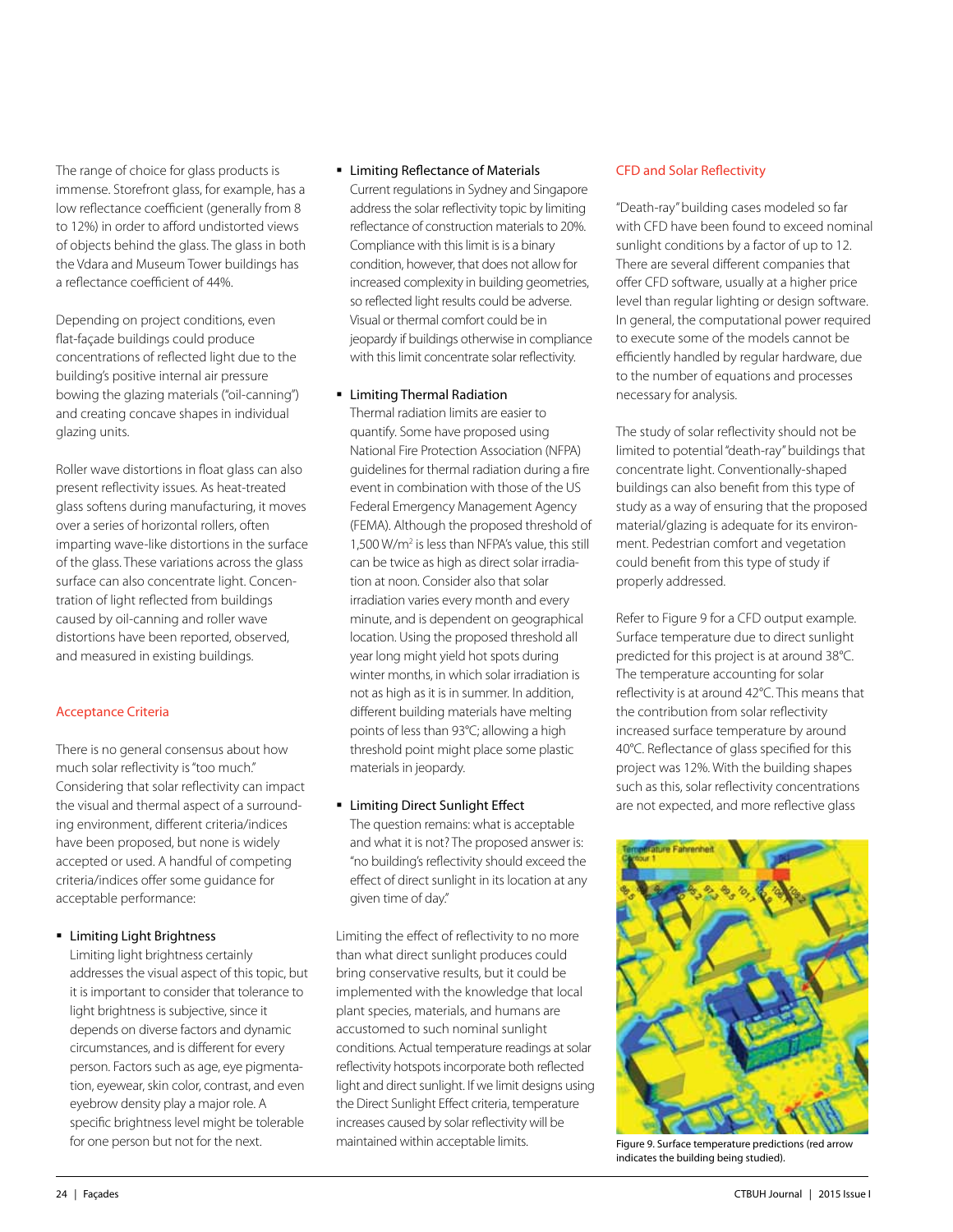The range of choice for glass products is immense. Storefront glass, for example, has a low reflectance coefficient (generally from 8 to 12%) in order to afford undistorted views of objects behind the glass. The glass in both the Vdara and Museum Tower buildings has a reflectance coefficient of 44%.

Depending on project conditions, even flat-façade buildings could produce concentrations of reflected light due to the building's positive internal air pressure bowing the glazing materials ("oil-canning") and creating concave shapes in individual glazing units.

Roller wave distortions in float glass can also present reflectivity issues. As heat-treated glass softens during manufacturing, it moves over a series of horizontal rollers, often imparting wave-like distortions in the surface of the glass. These variations across the glass surface can also concentrate light. Concentration of light reflected from buildings caused by oil-canning and roller wave distortions have been reported, observed, and measured in existing buildings.

## Acceptance Criteria

There is no general consensus about how much solar reflectivity is "too much." Considering that solar reflectivity can impact the visual and thermal aspect of a surrounding environment, different criteria/indices have been proposed, but none is widely accepted or used. A handful of competing criteria/indices offer some guidance for acceptable performance:

## **Limiting Light Brightness**

Limiting light brightness certainly addresses the visual aspect of this topic, but it is important to consider that tolerance to light brightness is subjective, since it depends on diverse factors and dynamic circumstances, and is different for every person. Factors such as age, eye pigmentation, eyewear, skin color, contrast, and even eyebrow density play a major role. A specific brightness level might be tolerable for one person but not for the next.

## **EXECTE Limiting Reflectance of Materials**

Current regulations in Sydney and Singapore address the solar reflectivity topic by limiting reflectance of construction materials to 20%. Compliance with this limit is is a binary condition, however, that does not allow for increased complexity in building geometries, so reflected light results could be adverse. Visual or thermal comfort could be in jeopardy if buildings otherwise in compliance with this limit concentrate solar reflectivity.

## **E** Limiting Thermal Radiation

Thermal radiation limits are easier to quantify. Some have proposed using National Fire Protection Association (NFPA) guidelines for thermal radiation during a fire event in combination with those of the US Federal Emergency Management Agency (FEMA). Although the proposed threshold of 1,500 W/m2 is less than NFPA's value, this still can be twice as high as direct solar irradiation at noon. Consider also that solar irradiation varies every month and every minute, and is dependent on geographical location. Using the proposed threshold all year long might yield hot spots during winter months, in which solar irradiation is not as high as it is in summer. In addition, different building materials have melting points of less than 93°C; allowing a high threshold point might place some plastic materials in jeopardy.

**EXAMPLE EXAMPLE Limiting Direct Sunlight Effect** The question remains: what is acceptable and what it is not? The proposed answer is: "no building's reflectivity should exceed the effect of direct sunlight in its location at any given time of day."

Limiting the effect of reflectivity to no more than what direct sunlight produces could bring conservative results, but it could be implemented with the knowledge that local plant species, materials, and humans are accustomed to such nominal sunlight conditions. Actual temperature readings at solar reflectivity hotspots incorporate both reflected light and direct sunlight. If we limit designs using the Direct Sunlight Effect criteria, temperature increases caused by solar reflectivity will be maintained within acceptable limits.

## CFD and Solar Reflectivity

"Death-ray" building cases modeled so far with CFD have been found to exceed nominal sunlight conditions by a factor of up to 12. There are several different companies that offer CFD software, usually at a higher price level than regular lighting or design software. In general, the computational power required to execute some of the models cannot be efficiently handled by regular hardware, due to the number of equations and processes necessary for analysis.

The study of solar reflectivity should not be limited to potential "death-ray" buildings that concentrate light. Conventionally-shaped buildings can also benefit from this type of study as a way of ensuring that the proposed material/glazing is adequate for its environment. Pedestrian comfort and vegetation could benefit from this type of study if properly addressed.

Refer to Figure 9 for a CFD output example. Surface temperature due to direct sunlight predicted for this project is at around 38°C. The temperature accounting for solar reflectivity is at around 42°C. This means that the contribution from solar reflectivity increased surface temperature by around 40°C. Reflectance of glass specified for this project was 12%. With the building shapes such as this, solar reflectivity concentrations are not expected, and more reflective glass



Figure 9. Surface temperature predictions (red arrow indicates the building being studied).